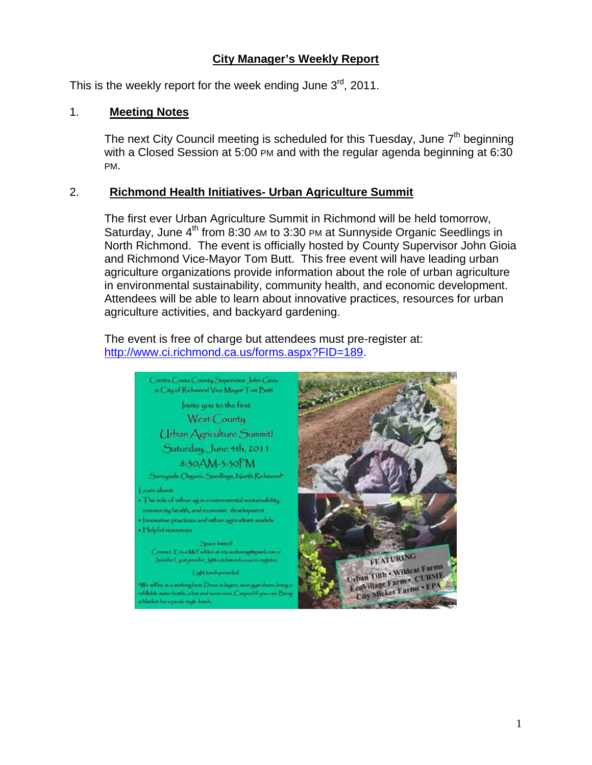# **City Manager's Weekly Report**

This is the weekly report for the week ending June  $3^{rd}$ , 2011.

## 1. **Meeting Notes**

The next City Council meeting is scheduled for this Tuesday, June  $7<sup>th</sup>$  beginning with a Closed Session at 5:00 PM and with the regular agenda beginning at 6:30 PM.

## 2. **Richmond Health Initiatives- Urban Agriculture Summit**

The first ever Urban Agriculture Summit in Richmond will be held tomorrow, Saturday, June  $4<sup>th</sup>$  from 8:30 AM to 3:30 PM at Sunnyside Organic Seedlings in North Richmond. The event is officially hosted by County Supervisor John Gioia and Richmond Vice-Mayor Tom Butt. This free event will have leading urban agriculture organizations provide information about the role of urban agriculture in environmental sustainability, community health, and economic development. Attendees will be able to learn about innovative practices, resources for urban agriculture activities, and backyard gardening.

The event is free of charge but attendees must pre-register at: [http://www.ci.richmond.ca.us/forms.aspx?FID=189.](http://www.ci.richmond.ca.us/forms.aspx?FID=189)

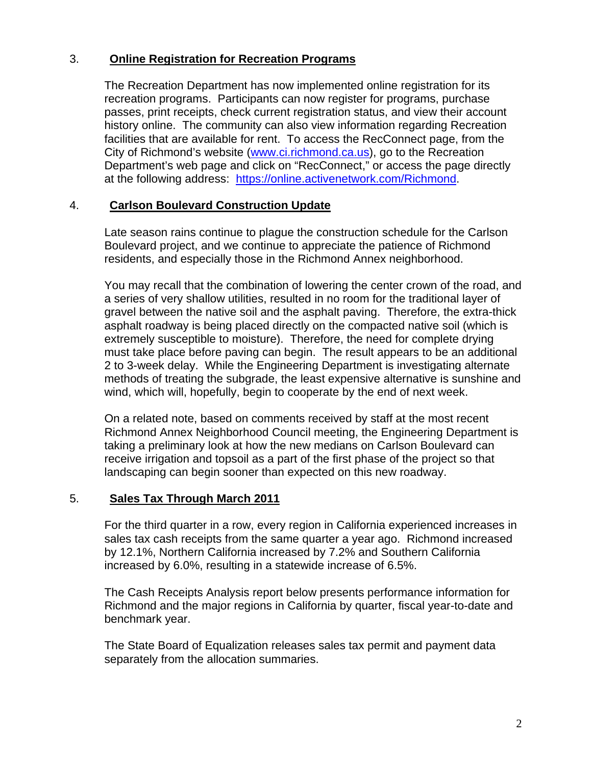# 3. **Online Registration for Recreation Programs**

The Recreation Department has now implemented online registration for its recreation programs. Participants can now register for programs, purchase passes, print receipts, check current registration status, and view their account history online. The community can also view information regarding Recreation facilities that are available for rent. To access the RecConnect page, from the City of Richmond's website [\(www.ci.richmond.ca.us](http://www.ci.richmond.ca.us/)), go to the Recreation Department's web page and click on "RecConnect," or access the page directly at the following address: <https://online.activenetwork.com/Richmond>.

## 4. **Carlson Boulevard Construction Update**

Late season rains continue to plague the construction schedule for the Carlson Boulevard project, and we continue to appreciate the patience of Richmond residents, and especially those in the Richmond Annex neighborhood.

You may recall that the combination of lowering the center crown of the road, and a series of very shallow utilities, resulted in no room for the traditional layer of gravel between the native soil and the asphalt paving. Therefore, the extra-thick asphalt roadway is being placed directly on the compacted native soil (which is extremely susceptible to moisture). Therefore, the need for complete drying must take place before paving can begin. The result appears to be an additional 2 to 3-week delay. While the Engineering Department is investigating alternate methods of treating the subgrade, the least expensive alternative is sunshine and wind, which will, hopefully, begin to cooperate by the end of next week.

On a related note, based on comments received by staff at the most recent Richmond Annex Neighborhood Council meeting, the Engineering Department is taking a preliminary look at how the new medians on Carlson Boulevard can receive irrigation and topsoil as a part of the first phase of the project so that landscaping can begin sooner than expected on this new roadway.

### 5. **Sales Tax Through March 2011**

For the third quarter in a row, every region in California experienced increases in sales tax cash receipts from the same quarter a year ago. Richmond increased by 12.1%, Northern California increased by 7.2% and Southern California increased by 6.0%, resulting in a statewide increase of 6.5%.

The Cash Receipts Analysis report below presents performance information for Richmond and the major regions in California by quarter, fiscal year-to-date and benchmark year.

The State Board of Equalization releases sales tax permit and payment data separately from the allocation summaries.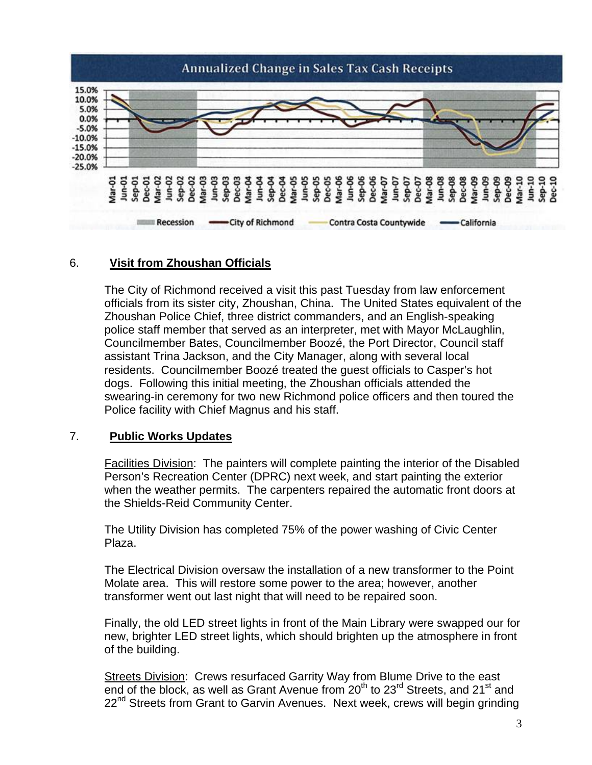

## 6. **Visit from Zhoushan Officials**

The City of Richmond received a visit this past Tuesday from law enforcement officials from its sister city, Zhoushan, China. The United States equivalent of the Zhoushan Police Chief, three district commanders, and an English-speaking police staff member that served as an interpreter, met with Mayor McLaughlin, Councilmember Bates, Councilmember Boozé, the Port Director, Council staff assistant Trina Jackson, and the City Manager, along with several local residents. Councilmember Boozé treated the guest officials to Casper's hot dogs. Following this initial meeting, the Zhoushan officials attended the swearing-in ceremony for two new Richmond police officers and then toured the Police facility with Chief Magnus and his staff.

### 7. **Public Works Updates**

Facilities Division: The painters will complete painting the interior of the Disabled Person's Recreation Center (DPRC) next week, and start painting the exterior when the weather permits. The carpenters repaired the automatic front doors at the Shields-Reid Community Center.

The Utility Division has completed 75% of the power washing of Civic Center Plaza.

The Electrical Division oversaw the installation of a new transformer to the Point Molate area. This will restore some power to the area; however, another transformer went out last night that will need to be repaired soon.

Finally, the old LED street lights in front of the Main Library were swapped our for new, brighter LED street lights, which should brighten up the atmosphere in front of the building.

Streets Division: Crews resurfaced Garrity Way from Blume Drive to the east end of the block, as well as Grant Avenue from  $20<sup>th</sup>$  to  $23<sup>rd</sup>$  Streets, and  $21<sup>st</sup>$  and 22<sup>nd</sup> Streets from Grant to Garvin Avenues. Next week, crews will begin grinding